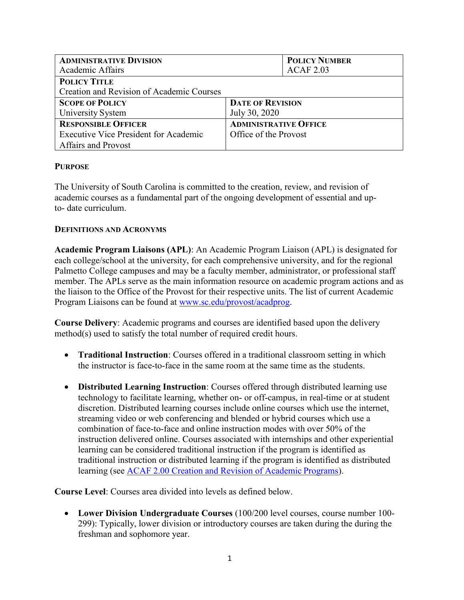| <b>ADMINISTRATIVE DIVISION</b>               | <b>POLICY NUMBER</b>         |
|----------------------------------------------|------------------------------|
| Academic Affairs                             | <b>ACAF 2.03</b>             |
| <b>POLICY TITLE</b>                          |                              |
| Creation and Revision of Academic Courses    |                              |
| <b>SCOPE OF POLICY</b>                       | <b>DATE OF REVISION</b>      |
| University System                            | July 30, 2020                |
| <b>RESPONSIBLE OFFICER</b>                   | <b>ADMINISTRATIVE OFFICE</b> |
| <b>Executive Vice President for Academic</b> | Office of the Provost        |
| <b>Affairs and Provost</b>                   |                              |

## **PURPOSE**

The University of South Carolina is committed to the creation, review, and revision of academic courses as a fundamental part of the ongoing development of essential and upto- date curriculum.

## **DEFINITIONS AND ACRONYMS**

**Academic Program Liaisons (APL)**: An Academic Program Liaison (APL) is designated for each college/school at the university, for each comprehensive university, and for the regional Palmetto College campuses and may be a faculty member, administrator, or professional staff member. The APLs serve as the main information resource on academic program actions and as the liaison to the Office of the Provost for their respective units. The list of current Academic Program Liaisons can be found at [www.sc.edu/provost/acadprog.](http://www.sc.edu/provost/acadprog)

**Course Delivery**: Academic programs and courses are identified based upon the delivery method(s) used to satisfy the total number of required credit hours.

- **Traditional Instruction**: Courses offered in a traditional classroom setting in which the instructor is face-to-face in the same room at the same time as the students.
- **Distributed Learning Instruction**: Courses offered through distributed learning use technology to facilitate learning, whether on- or off-campus, in real-time or at student discretion. Distributed learning courses include online courses which use the internet, streaming video or web conferencing and blended or hybrid courses which use a combination of face-to-face and online instruction modes with over 50% of the instruction delivered online. Courses associated with internships and other experiential learning can be considered traditional instruction if the program is identified as traditional instruction or distributed learning if the program is identified as distributed learning (see [ACAF 2.00 Creation and Revision of Academic](http://www.sc.edu/policies/ppm/acaf200.pdf) Programs).

**Course Level**: Courses area divided into levels as defined below.

 **Lower Division Undergraduate Courses** (100/200 level courses, course number 100- 299): Typically, lower division or introductory courses are taken during the during the freshman and sophomore year.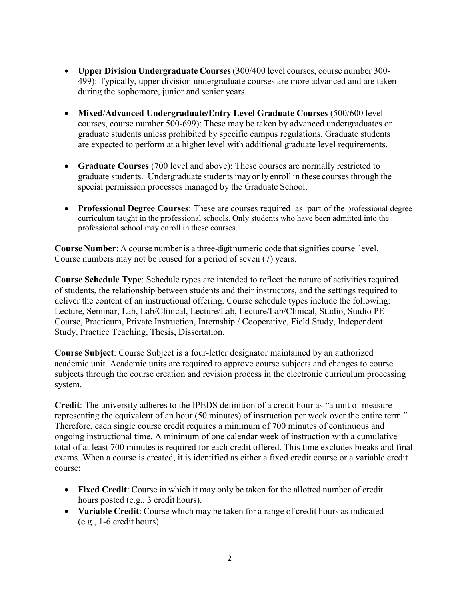- **Upper Division Undergraduate Courses** (300/400 level courses, course number 300- 499): Typically, upper division undergraduate courses are more advanced and are taken during the sophomore, junior and senior years.
- **Mixed**/**Advanced Undergraduate/Entry Level Graduate Courses** (500/600 level courses, course number 500-699): These may be taken by advanced undergraduates or graduate students unless prohibited by specific campus regulations. Graduate students are expected to perform at a higher level with additional graduate level requirements.
- **Graduate Courses** (700 level and above): These courses are normally restricted to graduate students. Undergraduate students may only enroll in these coursesthrough the special permission processes managed by the Graduate School.
- **Professional Degree Courses**: These are courses required as part of the professional degree curriculum taught in the professional schools. Only students who have been admitted into the professional school may enroll in these courses.

**Course Number:** A course number is a three-digit numeric code that signifies course level. Course numbers may not be reused for a period of seven (7) years.

**Course Schedule Type**: Schedule types are intended to reflect the nature of activities required of students, the relationship between students and their instructors, and the settings required to deliver the content of an instructional offering. Course schedule types include the following: Lecture, Seminar, Lab, Lab/Clinical, Lecture/Lab, Lecture/Lab/Clinical, Studio, Studio PE Course, Practicum, Private Instruction, Internship / Cooperative, Field Study, Independent Study, Practice Teaching, Thesis, Dissertation.

**Course Subject**: Course Subject is a four-letter designator maintained by an authorized academic unit. Academic units are required to approve course subjects and changes to course subjects through the course creation and revision process in the electronic curriculum processing system.

**Credit**: The university adheres to the IPEDS definition of a credit hour as "a unit of measure representing the equivalent of an hour (50 minutes) of instruction per week over the entire term." Therefore, each single course credit requires a minimum of 700 minutes of continuous and ongoing instructional time. A minimum of one calendar week of instruction with a cumulative total of at least 700 minutes is required for each credit offered. This time excludes breaks and final exams. When a course is created, it is identified as either a fixed credit course or a variable credit course:

- **Fixed Credit**: Course in which it may only be taken for the allotted number of credit hours posted (e.g., 3 credit hours).
- **Variable Credit**: Course which may be taken for a range of credit hours as indicated (e.g., 1-6 credit hours).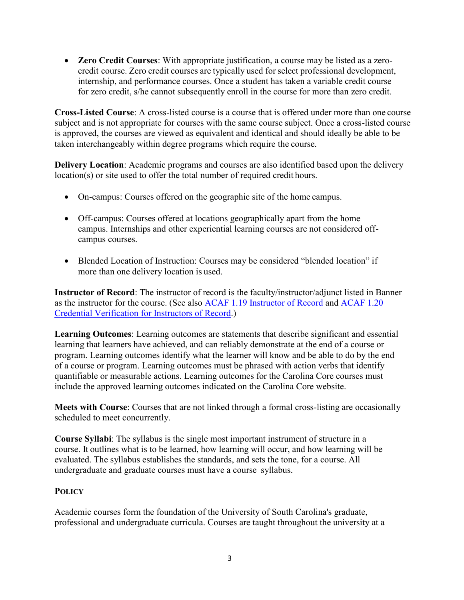**Zero Credit Courses**: With appropriate justification, a course may be listed as a zerocredit course. Zero credit courses are typically used for select professional development, internship, and performance courses. Once a student has taken a variable credit course for zero credit, s/he cannot subsequently enroll in the course for more than zero credit.

**Cross-Listed Course**: A cross-listed course is a course that is offered under more than one course subject and is not appropriate for courses with the same course subject. Once a cross-listed course is approved, the courses are viewed as equivalent and identical and should ideally be able to be taken interchangeably within degree programs which require the course.

**Delivery Location**: Academic programs and courses are also identified based upon the delivery location(s) or site used to offer the total number of required credit hours.

- On-campus: Courses offered on the geographic site of the home campus.
- Off-campus: Courses offered at locations geographically apart from the home campus. Internships and other experiential learning courses are not considered offcampus courses.
- Blended Location of Instruction: Courses may be considered "blended location" if more than one delivery location is used.

**Instructor of Record**: The instructor of record is the faculty/instructor/adjunct listed in Banner as the instructor for the course. (See also [ACAF 1.19 Instructor of Record](http://www.sc.edu/policies/ppm/acaf119.pdf) and [ACAF 1.20](http://www.sc.edu/policies/ppm/acaf120.pdf) [Credential Verification for Instructors of Record.](http://www.sc.edu/policies/ppm/acaf120.pdf))

**Learning Outcomes**: Learning outcomes are statements that describe significant and essential learning that learners have achieved, and can reliably demonstrate at the end of a course or program. Learning outcomes identify what the learner will know and be able to do by the end of a course or program. Learning outcomes must be phrased with action verbs that identify quantifiable or measurable actions. Learning outcomes for the Carolina Core courses must include the approved learning outcomes indicated on the Carolina Core website.

**Meets with Course**: Courses that are not linked through a formal cross-listing are occasionally scheduled to meet concurrently.

**Course Syllabi**: The syllabus is the single most important instrument of structure in a course. It outlines what is to be learned, how learning will occur, and how learning will be evaluated. The syllabus establishes the standards, and sets the tone, for a course. All undergraduate and graduate courses must have a course syllabus.

# **POLICY**

Academic courses form the foundation of the University of South Carolina's graduate, professional and undergraduate curricula. Courses are taught throughout the university at a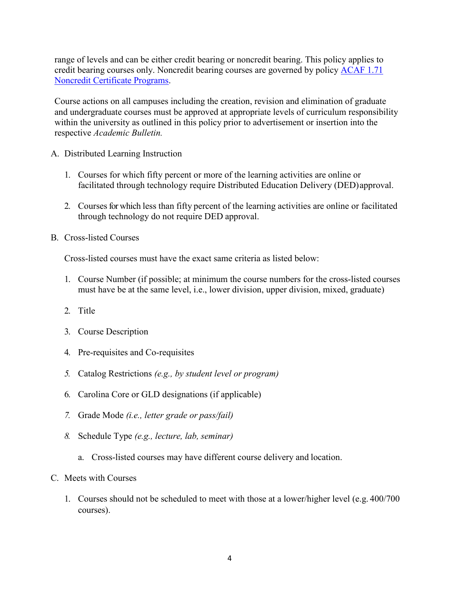range of levels and can be either credit bearing or noncredit bearing. This policy applies to credit bearing courses only. Noncredit bearing courses are governed by policy [ACAF 1.71](http://www.sc.edu/policies/ppm/acaf171.pdf) [Noncredit Certificate Programs.](http://www.sc.edu/policies/ppm/acaf171.pdf)

Course actions on all campuses including the creation, revision and elimination of graduate and undergraduate courses must be approved at appropriate levels of curriculum responsibility within the university as outlined in this policy prior to advertisement or insertion into the respective *Academic Bulletin.*

- A. Distributed Learning Instruction
	- 1. Courses for which fifty percent or more of the learning activities are online or facilitated through technology require Distributed Education Delivery (DED)approval.
	- 2. Courses for which less than fifty percent of the learning activities are online or facilitated through technology do not require DED approval.
- B. Cross-listed Courses

Cross-listed courses must have the exact same criteria as listed below:

- 1. Course Number (if possible; at minimum the course numbers for the cross-listed courses must have be at the same level, i.e., lower division, upper division, mixed, graduate)
- 2. Title
- 3. Course Description
- 4. Pre-requisites and Co-requisites
- *5.* Catalog Restrictions *(e.g., by student level or program)*
- 6. Carolina Core or GLD designations (if applicable)
- *7.* Grade Mode *(i.e., letter grade or pass/fail)*
- *8.* Schedule Type *(e.g., lecture, lab, seminar)*
	- a. Cross-listed courses may have different course delivery and location.
- C. Meets with Courses
	- 1. Courses should not be scheduled to meet with those at a lower/higher level (e.g. 400/700 courses).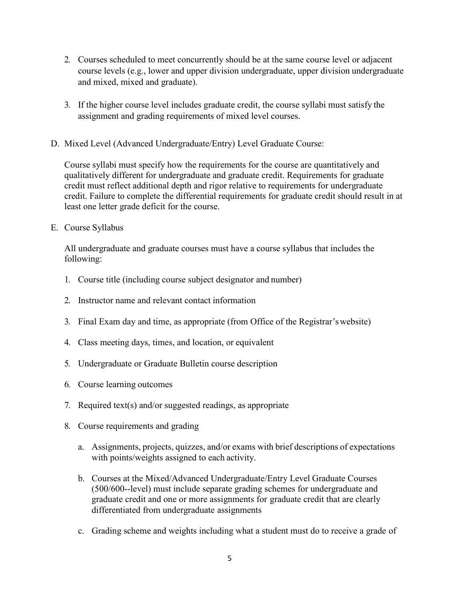- 2. Courses scheduled to meet concurrently should be at the same course level or adjacent course levels (e.g., lower and upper division undergraduate, upper division undergraduate and mixed, mixed and graduate).
- 3. If the higher course level includes graduate credit, the course syllabi must satisfy the assignment and grading requirements of mixed level courses.
- D. Mixed Level (Advanced Undergraduate/Entry) Level Graduate Course:

Course syllabi must specify how the requirements for the course are quantitatively and qualitatively different for undergraduate and graduate credit. Requirements for graduate credit must reflect additional depth and rigor relative to requirements for undergraduate credit. Failure to complete the differential requirements for graduate credit should result in at least one letter grade deficit for the course.

E. Course Syllabus

All undergraduate and graduate courses must have a course syllabus that includes the following:

- 1. Course title (including course subject designator and number)
- 2. Instructor name and relevant contact information
- 3. Final Exam day and time, as appropriate (from Office of the Registrar'swebsite)
- 4. Class meeting days, times, and location, or equivalent
- 5. Undergraduate or Graduate Bulletin course description
- 6. Course learning outcomes
- 7. Required text(s) and/or suggested readings, as appropriate
- 8. Course requirements and grading
	- a. Assignments, projects, quizzes, and/or exams with brief descriptions of expectations with points/weights assigned to each activity.
	- b. Courses at the Mixed/Advanced Undergraduate/Entry Level Graduate Courses (500/600--level) must include separate grading schemes for undergraduate and graduate credit and one or more assignments for graduate credit that are clearly differentiated from undergraduate assignments
	- c. Grading scheme and weights including what a student must do to receive a grade of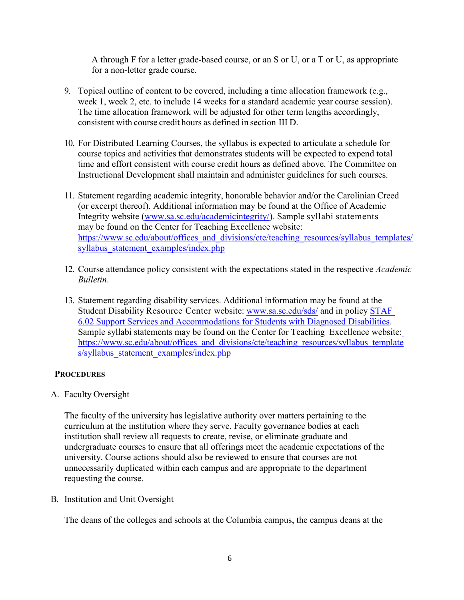A through F for a letter grade-based course, or an S or U, or a T or U, as appropriate for a non-letter grade course.

- 9. Topical outline of content to be covered, including a time allocation framework (e.g., week 1, week 2, etc. to include 14 weeks for a standard academic year course session). The time allocation framework will be adjusted for other term lengths accordingly, consistent with course credit hours as defined in section III D.
- 10. For Distributed Learning Courses, the syllabus is expected to articulate a schedule for course topics and activities that demonstrates students will be expected to expend total time and effort consistent with course credit hours as defined above. The Committee on Instructional Development shall maintain and administer guidelines for such courses.
- 11. Statement regarding academic integrity, honorable behavior and/or the Carolinian Creed (or excerpt thereof). Additional information may be found at the Office of Academic Integrity website [\(www.sa.sc.edu/academicintegrity/\)](http://www.sa.sc.edu/academicintegrity/). Sample syllabi statements may be found on the Center for Teaching Excellence website: [https://www.sc.edu/about/offices\\_and\\_divisions/cte/teaching\\_resources/syllabus\\_templates/](https://www.sc.edu/about/offices_and_divisions/cte/teaching_resources/syllabus_templates/syllabus_statement_examples/index.php) syllabus statement examples/index.php
- 12. Course attendance policy consistent with the expectations stated in the respective *Academic Bulletin*.
- 13. Statement regarding disability services. Additional information may be found at the Student Disability Resource Center website: [www.sa.sc.edu/sds/](http://www.sa.sc.edu/sds/) and in policy [STAF](http://www.sc.edu/policies/ppm/staf602.pdf) [6.02 Support Services and Accommodations for Students with Diagnosed Disabilities.](http://www.sc.edu/policies/ppm/staf602.pdf) Sample syllabi statements may be found on the Center for Teaching Excellence website[:](https://www.sc.edu/about/offices_and_divisions/cte/teaching_resources/syllabus_templates/syllabus_statement_examples/index.php) [https://www.sc.edu/about/offices\\_and\\_divisions/cte/teaching\\_resources/syllabus\\_template](https://www.sc.edu/about/offices_and_divisions/cte/teaching_resources/syllabus_templates/syllabus_statement_examples/index.php) s/syllabus statement examples/index.php

# **PROCEDURES**

A. Faculty Oversight

The faculty of the university has legislative authority over matters pertaining to the curriculum at the institution where they serve. Faculty governance bodies at each institution shall review all requests to create, revise, or eliminate graduate and undergraduate courses to ensure that all offerings meet the academic expectations of the university. Course actions should also be reviewed to ensure that courses are not unnecessarily duplicated within each campus and are appropriate to the department requesting the course.

B. Institution and Unit Oversight

The deans of the colleges and schools at the Columbia campus, the campus deans at the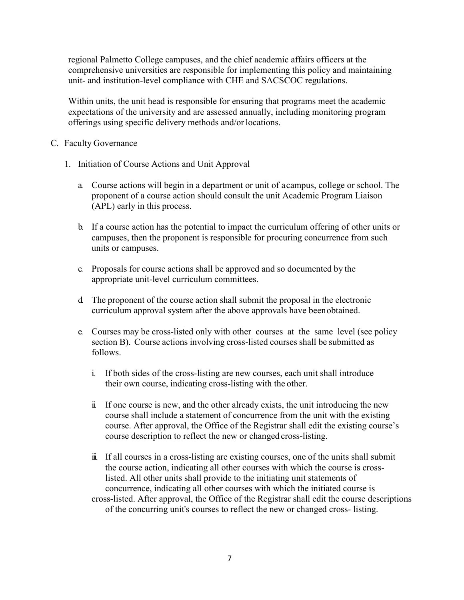regional Palmetto College campuses, and the chief academic affairs officers at the comprehensive universities are responsible for implementing this policy and maintaining unit- and institution-level compliance with CHE and SACSCOC regulations.

Within units, the unit head is responsible for ensuring that programs meet the academic expectations of the university and are assessed annually, including monitoring program offerings using specific delivery methods and/or locations.

- C. Faculty Governance
	- 1. Initiation of Course Actions and Unit Approval
		- a. Course actions will begin in a department or unit of acampus, college or school. The proponent of a course action should consult the unit Academic Program Liaison (APL) early in this process.
		- b. If a course action has the potential to impact the curriculum offering of other units or campuses, then the proponent is responsible for procuring concurrence from such units or campuses.
		- c. Proposals for course actions shall be approved and so documented by the appropriate unit-level curriculum committees.
		- d. The proponent of the course action shall submit the proposal in the electronic curriculum approval system after the above approvals have beenobtained.
		- e. Courses may be cross-listed only with other courses at the same level (see policy section B). Course actions involving cross-listed courses shall be submitted as follows.
			- i. If both sides of the cross-listing are new courses, each unit shall introduce their own course, indicating cross-listing with the other.
			- ii. If one course is new, and the other already exists, the unit introducing the new course shall include a statement of concurrence from the unit with the existing course. After approval, the Office of the Registrar shall edit the existing course's course description to reflect the new or changed cross-listing.
			- iii. If all courses in a cross-listing are existing courses, one of the units shall submit the course action, indicating all other courses with which the course is crosslisted. All other units shall provide to the initiating unit statements of concurrence, indicating all other courses with which the initiated course is cross-listed. After approval, the Office of the Registrar shall edit the course descriptions of the concurring unit's courses to reflect the new or changed cross- listing.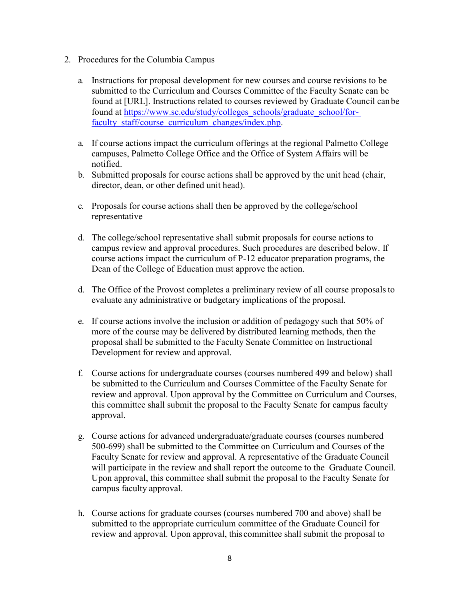- 2. Procedures for the Columbia Campus
	- a. Instructions for proposal development for new courses and course revisions to be submitted to the Curriculum and Courses Committee of the Faculty Senate can be found at [URL]. Instructions related to courses reviewed by Graduate Council canbe found at [https://www.sc.edu/study/colleges\\_schools/graduate\\_school/for](https://www.sc.edu/study/colleges_schools/graduate_school/for-faculty_staff/course_curriculum_changes/index.php)[faculty\\_staff/course\\_curriculum\\_changes/index.php.](https://www.sc.edu/study/colleges_schools/graduate_school/for-faculty_staff/course_curriculum_changes/index.php)
	- a. If course actions impact the curriculum offerings at the regional Palmetto College campuses, Palmetto College Office and the Office of System Affairs will be notified.
	- b. Submitted proposals for course actions shall be approved by the unit head (chair, director, dean, or other defined unit head).
	- c. Proposals for course actions shall then be approved by the college/school representative
	- d. The college/school representative shall submit proposals for course actions to campus review and approval procedures. Such procedures are described below. If course actions impact the curriculum of P-12 educator preparation programs, the Dean of the College of Education must approve the action.
	- d. The Office of the Provost completes a preliminary review of all course proposalsto evaluate any administrative or budgetary implications of the proposal.
	- e. If course actions involve the inclusion or addition of pedagogy such that 50% of more of the course may be delivered by distributed learning methods, then the proposal shall be submitted to the Faculty Senate Committee on Instructional Development for review and approval.
	- f. Course actions for undergraduate courses (courses numbered 499 and below) shall be submitted to the Curriculum and Courses Committee of the Faculty Senate for review and approval. Upon approval by the Committee on Curriculum and Courses, this committee shall submit the proposal to the Faculty Senate for campus faculty approval.
	- g. Course actions for advanced undergraduate/graduate courses (courses numbered 500-699) shall be submitted to the Committee on Curriculum and Courses of the Faculty Senate for review and approval. A representative of the Graduate Council will participate in the review and shall report the outcome to the Graduate Council. Upon approval, this committee shall submit the proposal to the Faculty Senate for campus faculty approval.
	- h. Course actions for graduate courses (courses numbered 700 and above) shall be submitted to the appropriate curriculum committee of the Graduate Council for review and approval. Upon approval, this committee shall submit the proposal to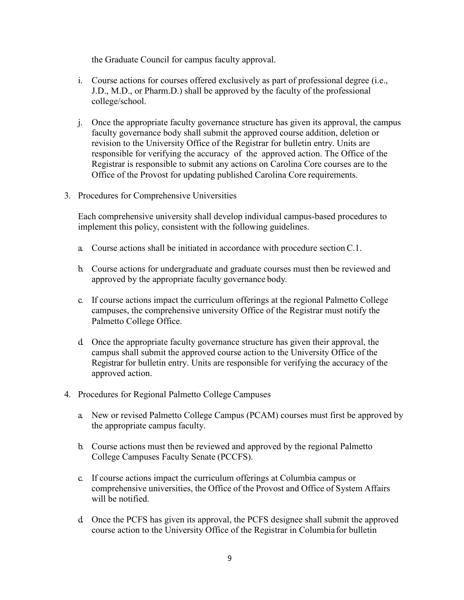the Graduate Council for campus faculty approval.

- i. Course actions for courses offered exclusively as part of professional degree (i.e., J.D., M.D., or Pharm.D.) shall be approved by the faculty of the professional college/school.
- j. Once the appropriate faculty governance structure has given its approval, the campus faculty governance body shall submit the approved course addition, deletion or revision to the University Office of the Registrar for bulletin entry. Units are responsible for verifying the accuracy of the approved action. The Office of the Registrar is responsible to submit any actions on Carolina Core courses are to the Office of the Provost for updating published Carolina Core requirements.
- 3. Procedures for Comprehensive Universities

Each comprehensive university shall develop individual campus-based procedures to implement this policy, consistent with the following guidelines.

- a. Course actions shall be initiated in accordance with procedure sectionC.1.
- b. Course actions for undergraduate and graduate courses must then be reviewed and approved by the appropriate faculty governance body*.*
- c. If course actions impact the curriculum offerings at the regional Palmetto College campuses, the comprehensive university Office of the Registrar must notify the Palmetto College Office.
- d. Once the appropriate faculty governance structure has given their approval, the campus shall submit the approved course action to the University Office of the Registrar for bulletin entry. Units are responsible for verifying the accuracy of the approved action.
- 4. Procedures for Regional Palmetto College Campuses
	- a. New or revised Palmetto College Campus (PCAM) courses must first be approved by the appropriate campus faculty.
	- b. Course actions must then be reviewed and approved by the regional Palmetto College Campuses Faculty Senate (PCCFS).
	- c. If course actions impact the curriculum offerings at Columbia campus or comprehensive universities, the Office of the Provost and Office of System Affairs will be notified.
	- d. Once the PCFS has given its approval, the PCFS designee shall submit the approved course action to the University Office of the Registrar in Columbia for bulletin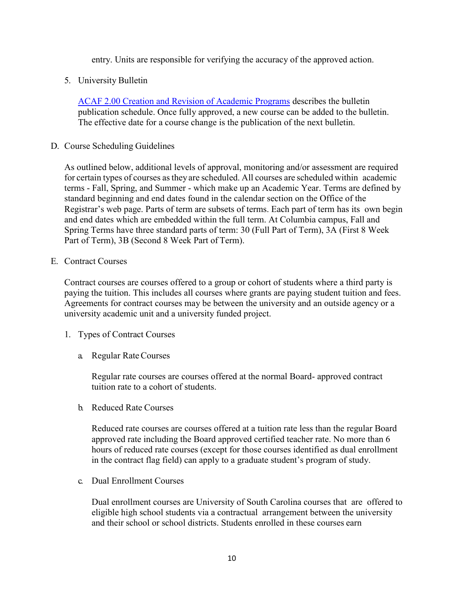entry. Units are responsible for verifying the accuracy of the approved action.

5. University Bulletin

[ACAF 2.00 Creation and Revision of Academic Programs](http://www.sc.edu/policies/ppm/acaf200.pdf) describes the bulletin publication schedule. Once fully approved, a new course can be added to the bulletin. The effective date for a course change is the publication of the next bulletin.

D. Course Scheduling Guidelines

As outlined below, additional levels of approval, monitoring and/or assessment are required for certain types of courses asthey are scheduled. All courses are scheduled within academic terms - Fall, Spring, and Summer - which make up an Academic Year. Terms are defined by standard beginning and end dates found in the calendar section on the Office of the Registrar's web page. Parts of term are subsets of terms. Each part of term has its own begin and end dates which are embedded within the full term. At Columbia campus, Fall and Spring Terms have three standard parts of term: 30 (Full Part of Term), 3A (First 8 Week Part of Term), 3B (Second 8 Week Part of Term).

E. Contract Courses

Contract courses are courses offered to a group or cohort of students where a third party is paying the tuition. This includes all courses where grants are paying student tuition and fees. Agreements for contract courses may be between the university and an outside agency or a university academic unit and a university funded project.

- 1. Types of Contract Courses
	- a. Regular RateCourses

Regular rate courses are courses offered at the normal Board- approved contract tuition rate to a cohort of students.

b. Reduced Rate Courses

Reduced rate courses are courses offered at a tuition rate less than the regular Board approved rate including the Board approved certified teacher rate. No more than 6 hours of reduced rate courses (except for those courses identified as dual enrollment in the contract flag field) can apply to a graduate student's program of study.

c. Dual Enrollment Courses

Dual enrollment courses are University of South Carolina courses that are offered to eligible high school students via a contractual arrangement between the university and their school or school districts. Students enrolled in these courses earn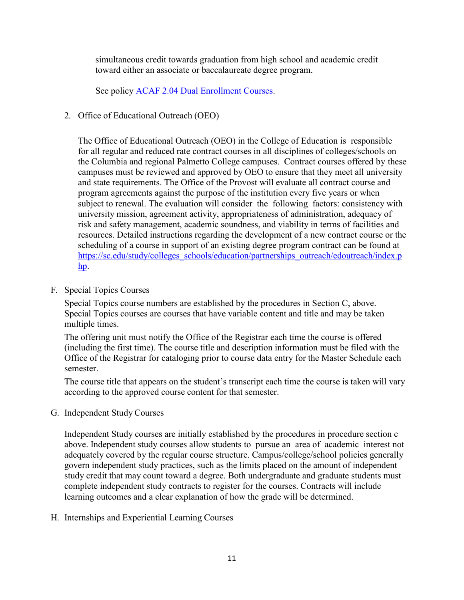simultaneous credit towards graduation from high school and academic credit toward either an associate or baccalaureate degree program.

See policy [ACAF 2.04 Dual Enrollment Courses.](http://www.sc.edu/policies/ppm/acaf204.pdf)

2. Office of Educational Outreach (OEO)

The Office of Educational Outreach (OEO) in the College of Education is responsible for all regular and reduced rate contract courses in all disciplines of colleges/schools on the Columbia and regional Palmetto College campuses. Contract courses offered by these campuses must be reviewed and approved by OEO to ensure that they meet all university and state requirements. The Office of the Provost will evaluate all contract course and program agreements against the purpose of the institution every five years or when subject to renewal. The evaluation will consider the following factors: consistency with university mission, agreement activity, appropriateness of administration, adequacy of risk and safety management, academic soundness, and viability in terms of facilities and resources. Detailed instructions regarding the development of a new contract course or the scheduling of a course in support of an existing degree program contract can be found at [https://sc.edu/study/colleges\\_schools/education/partnerships\\_outreach/edoutreach/index.p](https://sc.edu/study/colleges_schools/education/partnerships_outreach/edoutreach/index.php) [hp.](https://sc.edu/study/colleges_schools/education/partnerships_outreach/edoutreach/index.php)

F. Special Topics Courses

Special Topics course numbers are established by the procedures in Section C, above. Special Topics courses are courses that have variable content and title and may be taken multiple times.

The offering unit must notify the Office of the Registrar each time the course is offered (including the first time). The course title and description information must be filed with the Office of the Registrar for cataloging prior to course data entry for the Master Schedule each semester.

The course title that appears on the student's transcript each time the course is taken will vary according to the approved course content for that semester.

G. Independent Study Courses

Independent Study courses are initially established by the procedures in procedure section c above. Independent study courses allow students to pursue an area of academic interest not adequately covered by the regular course structure. Campus/college/school policies generally govern independent study practices, such as the limits placed on the amount of independent study credit that may count toward a degree. Both undergraduate and graduate students must complete independent study contracts to register for the courses. Contracts will include learning outcomes and a clear explanation of how the grade will be determined.

H. Internships and Experiential Learning Courses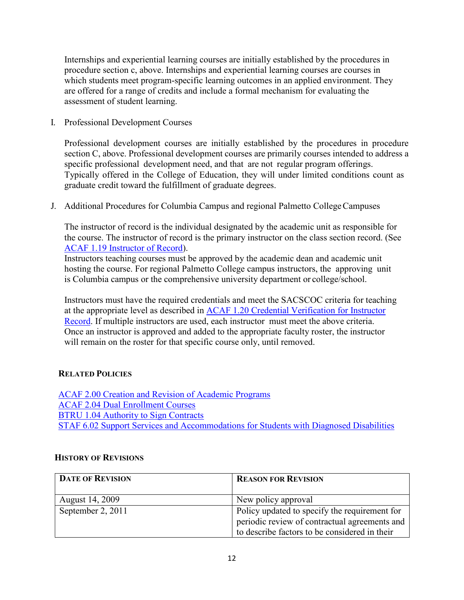Internships and experiential learning courses are initially established by the procedures in procedure section c, above. Internships and experiential learning courses are courses in which students meet program-specific learning outcomes in an applied environment. They are offered for a range of credits and include a formal mechanism for evaluating the assessment of student learning.

I. Professional Development Courses

Professional development courses are initially established by the procedures in procedure section C, above. Professional development courses are primarily courses intended to address a specific professional development need, and that are not regular program offerings. Typically offered in the College of Education, they will under limited conditions count as graduate credit toward the fulfillment of graduate degrees.

J. Additional Procedures for Columbia Campus and regional Palmetto CollegeCampuses

The instructor of record is the individual designated by the academic unit as responsible for the course. The instructor of record is the primary instructor on the class section record. (See [ACAF 1.19 Instructor of Record\)](http://www.sc.edu/policies/ppm/acaf119.pdf).

Instructors teaching courses must be approved by the academic dean and academic unit hosting the course. For regional Palmetto College campus instructors, the approving unit is Columbia campus or the comprehensive university department or college/school.

Instructors must have the required credentials and meet the SACSCOC criteria for teaching at the appropriate level as described in [ACAF 1.20 Credential Verification for Instructor](http://www.sc.edu/policies/ppm/acaf120.pdf) [Record.](http://www.sc.edu/policies/ppm/acaf120.pdf) If multiple instructors are used, each instructor must meet the above criteria. Once an instructor is approved and added to the appropriate faculty roster, the instructor will remain on the roster for that specific course only, until removed.

# **RELATED POLICIES**

[ACAF 2.00 Creation and Revision of Academic Programs](http://www.sc.edu/policies/ppm/acaf200.pdf) [ACAF 2.04 Dual Enrollment Courses](http://www.sc.edu/policies/ppm/acaf204.pdf) [BTRU 1.04 Authority to Sign Contracts](http://www.sc.edu/policies/ppm/btru104.pdf) [STAF 6.02 Support Services and Accommodations for Students with Diagnosed Disabilities](http://www.sc.edu/policies/ppm/staf602.pdf)

## **HISTORY OF REVISIONS**

| <b>DATE OF REVISION</b> | <b>REASON FOR REVISION</b>                    |
|-------------------------|-----------------------------------------------|
|                         |                                               |
| August 14, 2009         | New policy approval                           |
| September 2, 2011       | Policy updated to specify the requirement for |
|                         | periodic review of contractual agreements and |
|                         | to describe factors to be considered in their |